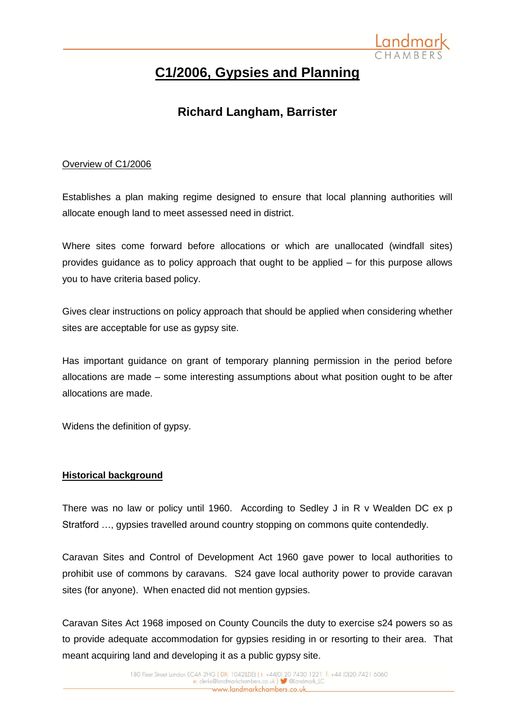

# **C1/2006, Gypsies and Planning**

## **Richard Langham, Barrister**

## Overview of C1/2006

Establishes a plan making regime designed to ensure that local planning authorities will allocate enough land to meet assessed need in district.

Where sites come forward before allocations or which are unallocated (windfall sites) provides guidance as to policy approach that ought to be applied – for this purpose allows you to have criteria based policy.

Gives clear instructions on policy approach that should be applied when considering whether sites are acceptable for use as gypsy site.

Has important guidance on grant of temporary planning permission in the period before allocations are made – some interesting assumptions about what position ought to be after allocations are made.

Widens the definition of gypsy.

## **Historical background**

There was no law or policy until 1960. According to Sedley J in R v Wealden DC ex p Stratford …, gypsies travelled around country stopping on commons quite contendedly.

Caravan Sites and Control of Development Act 1960 gave power to local authorities to prohibit use of commons by caravans. S24 gave local authority power to provide caravan sites (for anyone). When enacted did not mention gypsies.

Caravan Sites Act 1968 imposed on County Councils the duty to exercise s24 powers so as to provide adequate accommodation for gypsies residing in or resorting to their area. That meant acquiring land and developing it as a public gypsy site.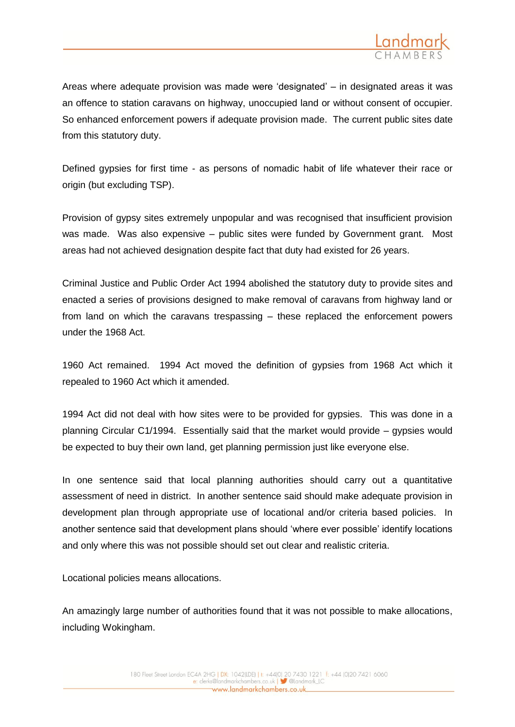

Areas where adequate provision was made were 'designated' – in designated areas it was an offence to station caravans on highway, unoccupied land or without consent of occupier. So enhanced enforcement powers if adequate provision made. The current public sites date from this statutory duty.

Defined gypsies for first time - as persons of nomadic habit of life whatever their race or origin (but excluding TSP).

Provision of gypsy sites extremely unpopular and was recognised that insufficient provision was made. Was also expensive – public sites were funded by Government grant. Most areas had not achieved designation despite fact that duty had existed for 26 years.

Criminal Justice and Public Order Act 1994 abolished the statutory duty to provide sites and enacted a series of provisions designed to make removal of caravans from highway land or from land on which the caravans trespassing – these replaced the enforcement powers under the 1968 Act.

1960 Act remained. 1994 Act moved the definition of gypsies from 1968 Act which it repealed to 1960 Act which it amended.

1994 Act did not deal with how sites were to be provided for gypsies. This was done in a planning Circular C1/1994. Essentially said that the market would provide – gypsies would be expected to buy their own land, get planning permission just like everyone else.

In one sentence said that local planning authorities should carry out a quantitative assessment of need in district. In another sentence said should make adequate provision in development plan through appropriate use of locational and/or criteria based policies. In another sentence said that development plans should 'where ever possible' identify locations and only where this was not possible should set out clear and realistic criteria.

Locational policies means allocations.

An amazingly large number of authorities found that it was not possible to make allocations, including Wokingham.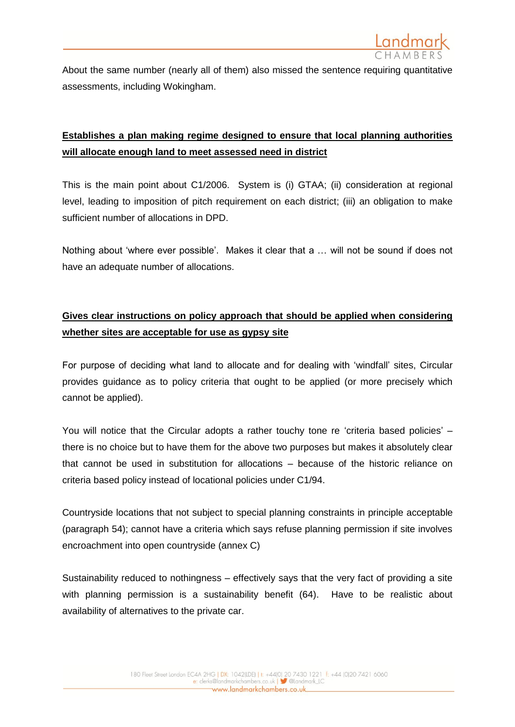

About the same number (nearly all of them) also missed the sentence requiring quantitative assessments, including Wokingham.

## **Establishes a plan making regime designed to ensure that local planning authorities will allocate enough land to meet assessed need in district**

This is the main point about C1/2006. System is (i) GTAA; (ii) consideration at regional level, leading to imposition of pitch requirement on each district; (iii) an obligation to make sufficient number of allocations in DPD.

Nothing about 'where ever possible'. Makes it clear that a … will not be sound if does not have an adequate number of allocations.

## **Gives clear instructions on policy approach that should be applied when considering whether sites are acceptable for use as gypsy site**

For purpose of deciding what land to allocate and for dealing with 'windfall' sites, Circular provides guidance as to policy criteria that ought to be applied (or more precisely which cannot be applied).

You will notice that the Circular adopts a rather touchy tone re 'criteria based policies' – there is no choice but to have them for the above two purposes but makes it absolutely clear that cannot be used in substitution for allocations – because of the historic reliance on criteria based policy instead of locational policies under C1/94.

Countryside locations that not subject to special planning constraints in principle acceptable (paragraph 54); cannot have a criteria which says refuse planning permission if site involves encroachment into open countryside (annex C)

Sustainability reduced to nothingness – effectively says that the very fact of providing a site with planning permission is a sustainability benefit (64). Have to be realistic about availability of alternatives to the private car.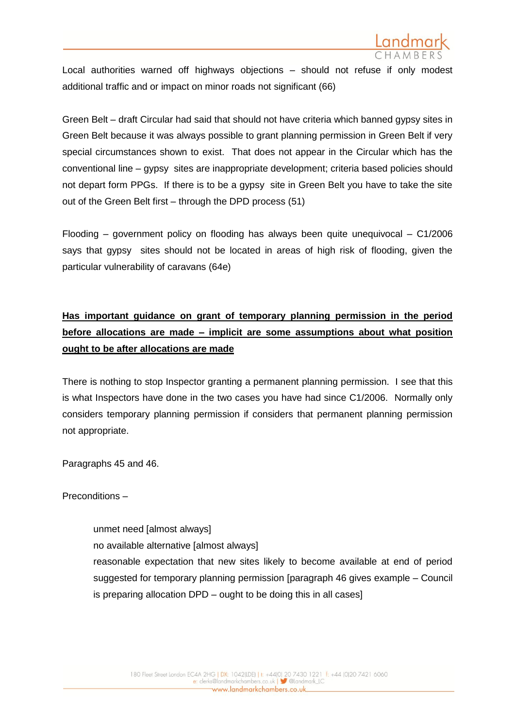

Local authorities warned off highways objections – should not refuse if only modest additional traffic and or impact on minor roads not significant (66)

Green Belt – draft Circular had said that should not have criteria which banned gypsy sites in Green Belt because it was always possible to grant planning permission in Green Belt if very special circumstances shown to exist. That does not appear in the Circular which has the conventional line – gypsy sites are inappropriate development; criteria based policies should not depart form PPGs. If there is to be a gypsy site in Green Belt you have to take the site out of the Green Belt first – through the DPD process (51)

Flooding – government policy on flooding has always been quite unequivocal – C1/2006 says that gypsy sites should not be located in areas of high risk of flooding, given the particular vulnerability of caravans (64e)

## **Has important guidance on grant of temporary planning permission in the period before allocations are made – implicit are some assumptions about what position ought to be after allocations are made**

There is nothing to stop Inspector granting a permanent planning permission. I see that this is what Inspectors have done in the two cases you have had since C1/2006. Normally only considers temporary planning permission if considers that permanent planning permission not appropriate.

Paragraphs 45 and 46.

Preconditions –

unmet need [almost always] no available alternative [almost always] reasonable expectation that new sites likely to become available at end of period suggested for temporary planning permission [paragraph 46 gives example – Council is preparing allocation DPD – ought to be doing this in all cases]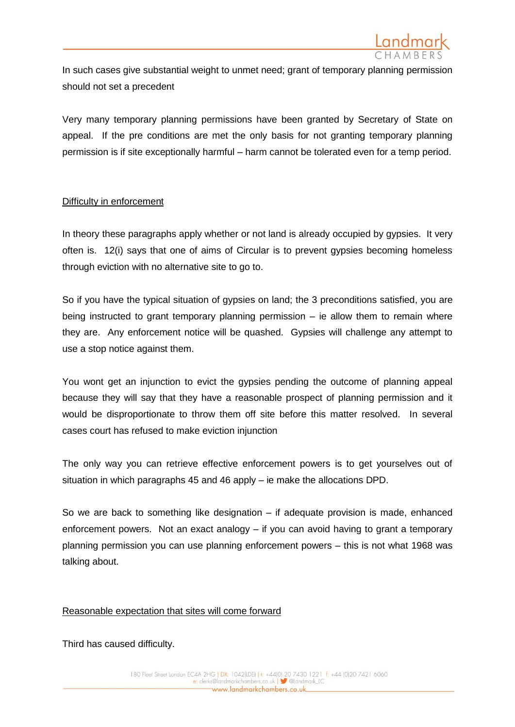

In such cases give substantial weight to unmet need; grant of temporary planning permission should not set a precedent

Very many temporary planning permissions have been granted by Secretary of State on appeal. If the pre conditions are met the only basis for not granting temporary planning permission is if site exceptionally harmful – harm cannot be tolerated even for a temp period.

## Difficulty in enforcement

In theory these paragraphs apply whether or not land is already occupied by gypsies. It very often is. 12(i) says that one of aims of Circular is to prevent gypsies becoming homeless through eviction with no alternative site to go to.

So if you have the typical situation of gypsies on land; the 3 preconditions satisfied, you are being instructed to grant temporary planning permission – ie allow them to remain where they are. Any enforcement notice will be quashed. Gypsies will challenge any attempt to use a stop notice against them.

You wont get an injunction to evict the gypsies pending the outcome of planning appeal because they will say that they have a reasonable prospect of planning permission and it would be disproportionate to throw them off site before this matter resolved. In several cases court has refused to make eviction injunction

The only way you can retrieve effective enforcement powers is to get yourselves out of situation in which paragraphs 45 and 46 apply – ie make the allocations DPD.

So we are back to something like designation – if adequate provision is made, enhanced enforcement powers. Not an exact analogy – if you can avoid having to grant a temporary planning permission you can use planning enforcement powers – this is not what 1968 was talking about.

#### Reasonable expectation that sites will come forward

Third has caused difficulty.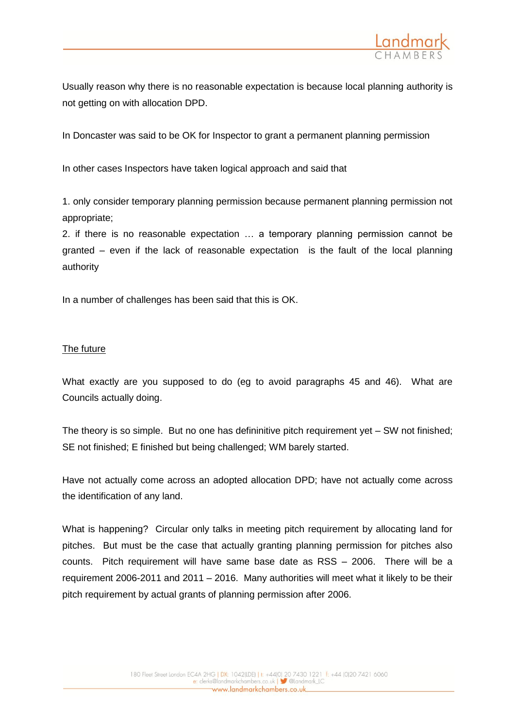

Usually reason why there is no reasonable expectation is because local planning authority is not getting on with allocation DPD.

In Doncaster was said to be OK for Inspector to grant a permanent planning permission

In other cases Inspectors have taken logical approach and said that

1. only consider temporary planning permission because permanent planning permission not appropriate;

2. if there is no reasonable expectation … a temporary planning permission cannot be granted – even if the lack of reasonable expectation is the fault of the local planning authority

In a number of challenges has been said that this is OK.

## The future

What exactly are you supposed to do (eg to avoid paragraphs 45 and 46). What are Councils actually doing.

The theory is so simple. But no one has defininitive pitch requirement yet – SW not finished; SE not finished; E finished but being challenged; WM barely started.

Have not actually come across an adopted allocation DPD; have not actually come across the identification of any land.

What is happening? Circular only talks in meeting pitch requirement by allocating land for pitches. But must be the case that actually granting planning permission for pitches also counts. Pitch requirement will have same base date as RSS – 2006. There will be a requirement 2006-2011 and 2011 – 2016. Many authorities will meet what it likely to be their pitch requirement by actual grants of planning permission after 2006.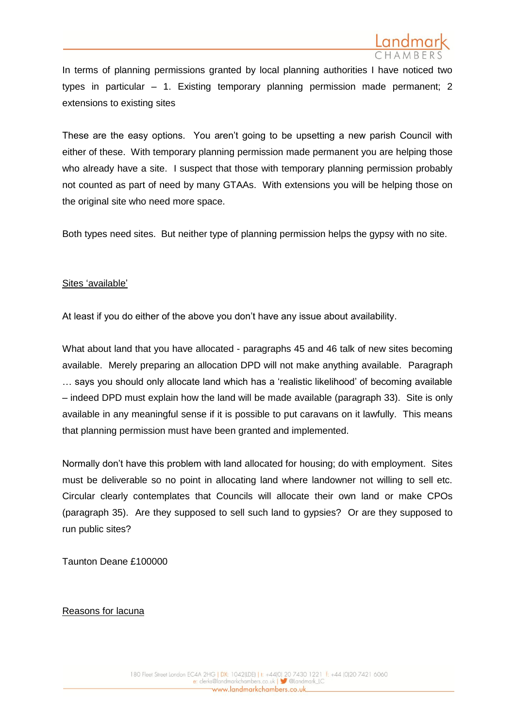

In terms of planning permissions granted by local planning authorities I have noticed two types in particular – 1. Existing temporary planning permission made permanent; 2 extensions to existing sites

These are the easy options. You aren't going to be upsetting a new parish Council with either of these. With temporary planning permission made permanent you are helping those who already have a site. I suspect that those with temporary planning permission probably not counted as part of need by many GTAAs. With extensions you will be helping those on the original site who need more space.

Both types need sites. But neither type of planning permission helps the gypsy with no site.

## Sites 'available'

At least if you do either of the above you don't have any issue about availability.

What about land that you have allocated - paragraphs 45 and 46 talk of new sites becoming available. Merely preparing an allocation DPD will not make anything available. Paragraph … says you should only allocate land which has a 'realistic likelihood' of becoming available – indeed DPD must explain how the land will be made available (paragraph 33). Site is only available in any meaningful sense if it is possible to put caravans on it lawfully. This means that planning permission must have been granted and implemented.

Normally don't have this problem with land allocated for housing; do with employment. Sites must be deliverable so no point in allocating land where landowner not willing to sell etc. Circular clearly contemplates that Councils will allocate their own land or make CPOs (paragraph 35). Are they supposed to sell such land to gypsies? Or are they supposed to run public sites?

Taunton Deane £100000

Reasons for lacuna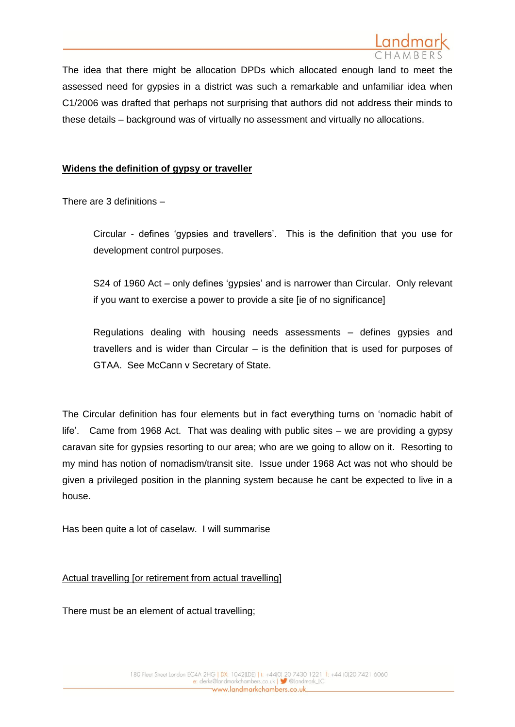

The idea that there might be allocation DPDs which allocated enough land to meet the assessed need for gypsies in a district was such a remarkable and unfamiliar idea when C1/2006 was drafted that perhaps not surprising that authors did not address their minds to these details – background was of virtually no assessment and virtually no allocations.

#### **Widens the definition of gypsy or traveller**

There are 3 definitions –

Circular - defines 'gypsies and travellers'. This is the definition that you use for development control purposes.

S24 of 1960 Act – only defines 'gypsies' and is narrower than Circular. Only relevant if you want to exercise a power to provide a site [ie of no significance]

Regulations dealing with housing needs assessments – defines gypsies and travellers and is wider than Circular – is the definition that is used for purposes of GTAA. See McCann v Secretary of State.

The Circular definition has four elements but in fact everything turns on 'nomadic habit of life'. Came from 1968 Act. That was dealing with public sites – we are providing a gypsy caravan site for gypsies resorting to our area; who are we going to allow on it. Resorting to my mind has notion of nomadism/transit site. Issue under 1968 Act was not who should be given a privileged position in the planning system because he cant be expected to live in a house.

Has been quite a lot of caselaw. I will summarise

#### Actual travelling [or retirement from actual travelling]

There must be an element of actual travelling;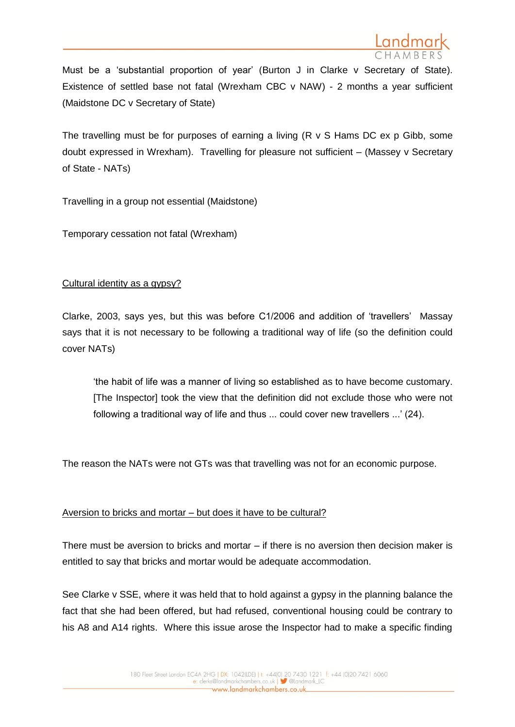

Must be a 'substantial proportion of year' (Burton J in Clarke v Secretary of State). Existence of settled base not fatal (Wrexham CBC v NAW) - 2 months a year sufficient (Maidstone DC v Secretary of State)

The travelling must be for purposes of earning a living  $(R \vee S)$  Hams DC ex p Gibb, some doubt expressed in Wrexham). Travelling for pleasure not sufficient – (Massey v Secretary of State - NATs)

Travelling in a group not essential (Maidstone)

Temporary cessation not fatal (Wrexham)

## Cultural identity as a gypsy?

Clarke, 2003, says yes, but this was before C1/2006 and addition of 'travellers' Massay says that it is not necessary to be following a traditional way of life (so the definition could cover NATs)

'the habit of life was a manner of living so established as to have become customary. [The Inspector] took the view that the definition did not exclude those who were not following a traditional way of life and thus ... could cover new travellers ...' (24).

The reason the NATs were not GTs was that travelling was not for an economic purpose.

## Aversion to bricks and mortar – but does it have to be cultural?

There must be aversion to bricks and mortar – if there is no aversion then decision maker is entitled to say that bricks and mortar would be adequate accommodation.

See Clarke v SSE, where it was held that to hold against a gypsy in the planning balance the fact that she had been offered, but had refused, conventional housing could be contrary to his A8 and A14 rights. Where this issue arose the Inspector had to make a specific finding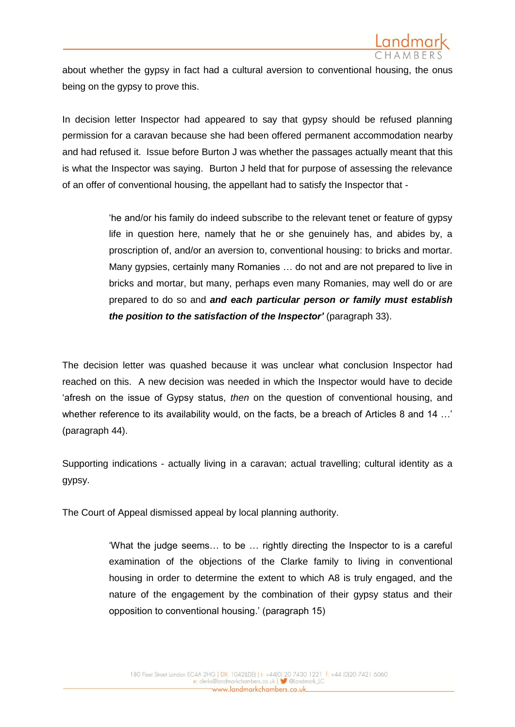

about whether the gypsy in fact had a cultural aversion to conventional housing, the onus being on the gypsy to prove this.

In decision letter Inspector had appeared to say that gypsy should be refused planning permission for a caravan because she had been offered permanent accommodation nearby and had refused it. Issue before Burton J was whether the passages actually meant that this is what the Inspector was saying. Burton J held that for purpose of assessing the relevance of an offer of conventional housing, the appellant had to satisfy the Inspector that -

> 'he and/or his family do indeed subscribe to the relevant tenet or feature of gypsy life in question here, namely that he or she genuinely has, and abides by, a proscription of, and/or an aversion to, conventional housing: to bricks and mortar. Many gypsies, certainly many Romanies … do not and are not prepared to live in bricks and mortar, but many, perhaps even many Romanies, may well do or are prepared to do so and *and each particular person or family must establish the position to the satisfaction of the Inspector'* (paragraph 33).

The decision letter was quashed because it was unclear what conclusion Inspector had reached on this. A new decision was needed in which the Inspector would have to decide 'afresh on the issue of Gypsy status, *then* on the question of conventional housing, and whether reference to its availability would, on the facts, be a breach of Articles 8 and 14 ...' (paragraph 44).

Supporting indications - actually living in a caravan; actual travelling; cultural identity as a gypsy.

The Court of Appeal dismissed appeal by local planning authority.

'What the judge seems… to be … rightly directing the Inspector to is a careful examination of the objections of the Clarke family to living in conventional housing in order to determine the extent to which A8 is truly engaged, and the nature of the engagement by the combination of their gypsy status and their opposition to conventional housing.' (paragraph 15)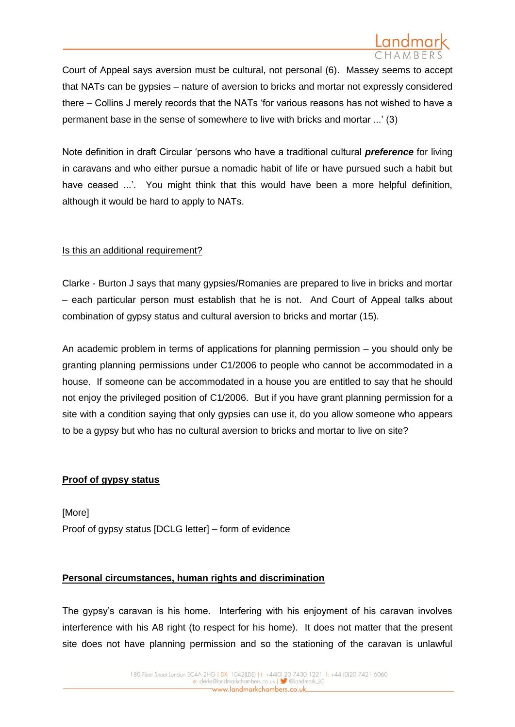Court of Appeal says aversion must be cultural, not personal (6). Massey seems to accept that NATs can be gypsies – nature of aversion to bricks and mortar not expressly considered there – Collins J merely records that the NATs 'for various reasons has not wished to have a permanent base in the sense of somewhere to live with bricks and mortar ...' (3)

Note definition in draft Circular 'persons who have a traditional cultural *preference* for living in caravans and who either pursue a nomadic habit of life or have pursued such a habit but have ceased ...'. You might think that this would have been a more helpful definition, although it would be hard to apply to NATs.

## Is this an additional requirement?

Clarke - Burton J says that many gypsies/Romanies are prepared to live in bricks and mortar – each particular person must establish that he is not. And Court of Appeal talks about combination of gypsy status and cultural aversion to bricks and mortar (15).

An academic problem in terms of applications for planning permission – you should only be granting planning permissions under C1/2006 to people who cannot be accommodated in a house. If someone can be accommodated in a house you are entitled to say that he should not enjoy the privileged position of C1/2006. But if you have grant planning permission for a site with a condition saying that only gypsies can use it, do you allow someone who appears to be a gypsy but who has no cultural aversion to bricks and mortar to live on site?

#### **Proof of gypsy status**

[More] Proof of gypsy status [DCLG letter] – form of evidence

## **Personal circumstances, human rights and discrimination**

The gypsy's caravan is his home. Interfering with his enjoyment of his caravan involves interference with his A8 right (to respect for his home). It does not matter that the present site does not have planning permission and so the stationing of the caravan is unlawful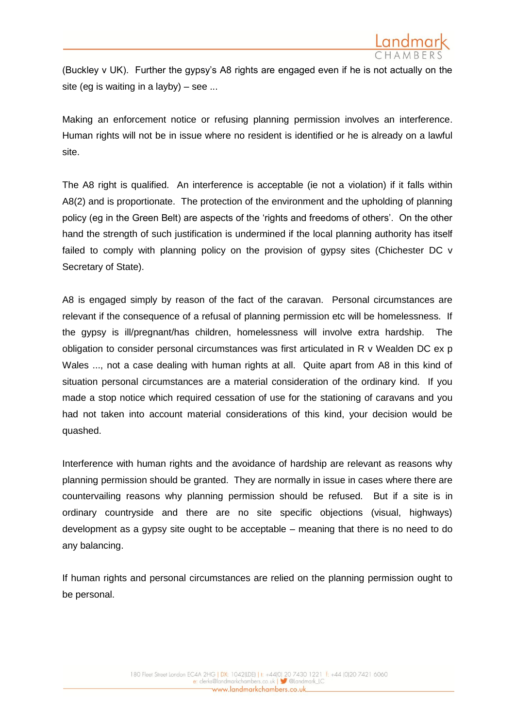

(Buckley v UK). Further the gypsy's A8 rights are engaged even if he is not actually on the site (eg is waiting in a layby) – see ...

Making an enforcement notice or refusing planning permission involves an interference. Human rights will not be in issue where no resident is identified or he is already on a lawful site.

The A8 right is qualified. An interference is acceptable (ie not a violation) if it falls within A8(2) and is proportionate. The protection of the environment and the upholding of planning policy (eg in the Green Belt) are aspects of the 'rights and freedoms of others'. On the other hand the strength of such justification is undermined if the local planning authority has itself failed to comply with planning policy on the provision of gypsy sites (Chichester DC v Secretary of State).

A8 is engaged simply by reason of the fact of the caravan. Personal circumstances are relevant if the consequence of a refusal of planning permission etc will be homelessness. If the gypsy is ill/pregnant/has children, homelessness will involve extra hardship. The obligation to consider personal circumstances was first articulated in R v Wealden DC ex p Wales ..., not a case dealing with human rights at all. Quite apart from A8 in this kind of situation personal circumstances are a material consideration of the ordinary kind. If you made a stop notice which required cessation of use for the stationing of caravans and you had not taken into account material considerations of this kind, your decision would be quashed.

Interference with human rights and the avoidance of hardship are relevant as reasons why planning permission should be granted. They are normally in issue in cases where there are countervailing reasons why planning permission should be refused. But if a site is in ordinary countryside and there are no site specific objections (visual, highways) development as a gypsy site ought to be acceptable – meaning that there is no need to do any balancing.

If human rights and personal circumstances are relied on the planning permission ought to be personal.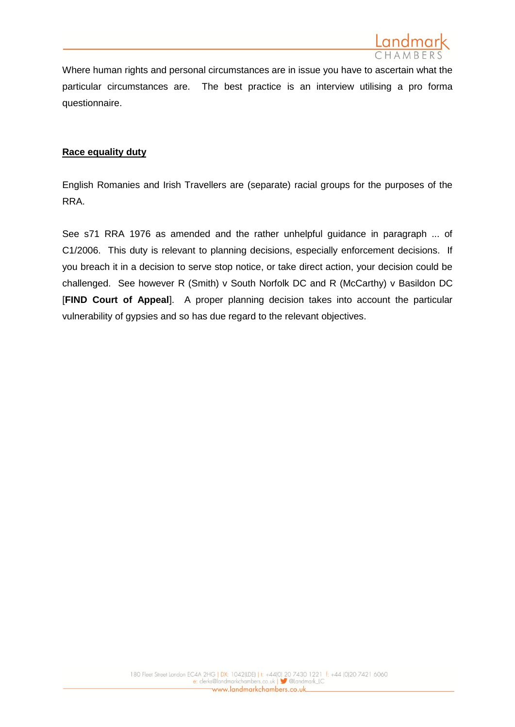

Where human rights and personal circumstances are in issue you have to ascertain what the particular circumstances are. The best practice is an interview utilising a pro forma questionnaire.

#### **Race equality duty**

English Romanies and Irish Travellers are (separate) racial groups for the purposes of the RRA.

See s71 RRA 1976 as amended and the rather unhelpful guidance in paragraph ... of C1/2006. This duty is relevant to planning decisions, especially enforcement decisions. If you breach it in a decision to serve stop notice, or take direct action, your decision could be challenged. See however R (Smith) v South Norfolk DC and R (McCarthy) v Basildon DC [**FIND Court of Appeal**]. A proper planning decision takes into account the particular vulnerability of gypsies and so has due regard to the relevant objectives.